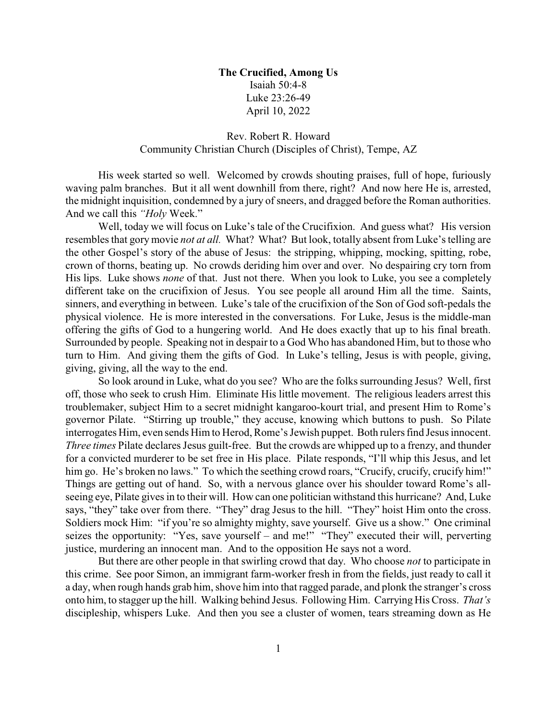## **The Crucified, Among Us** Isaiah 50:4-8 Luke 23:26-49 April 10, 2022

## Rev. Robert R. Howard Community Christian Church (Disciples of Christ), Tempe, AZ

His week started so well. Welcomed by crowds shouting praises, full of hope, furiously waving palm branches. But it all went downhill from there, right? And now here He is, arrested, the midnight inquisition, condemned by a jury of sneers, and dragged before the Roman authorities. And we call this *"Holy* Week."

Well, today we will focus on Luke's tale of the Crucifixion. And guess what? His version resembles that gory movie *not at all.* What? What? But look, totally absent from Luke's telling are the other Gospel's story of the abuse of Jesus: the stripping, whipping, mocking, spitting, robe, crown of thorns, beating up. No crowds deriding him over and over. No despairing cry torn from His lips. Luke shows *none* of that. Just not there. When you look to Luke, you see a completely different take on the crucifixion of Jesus. You see people all around Him all the time. Saints, sinners, and everything in between. Luke's tale of the crucifixion of the Son of God soft-pedals the physical violence. He is more interested in the conversations. For Luke, Jesus is the middle-man offering the gifts of God to a hungering world. And He does exactly that up to his final breath. Surrounded by people. Speaking not in despair to a God Who has abandoned Him, but to those who turn to Him. And giving them the gifts of God. In Luke's telling, Jesus is with people, giving, giving, giving, all the way to the end.

So look around in Luke, what do you see? Who are the folks surrounding Jesus? Well, first off, those who seek to crush Him. Eliminate His little movement. The religious leaders arrest this troublemaker, subject Him to a secret midnight kangaroo-kourt trial, and present Him to Rome's governor Pilate. "Stirring up trouble," they accuse, knowing which buttons to push. So Pilate interrogates Him, even sends Him to Herod, Rome's Jewish puppet. Both rulers find Jesus innocent. *Three times* Pilate declares Jesus guilt-free. But the crowds are whipped up to a frenzy, and thunder for a convicted murderer to be set free in His place. Pilate responds, "I'll whip this Jesus, and let him go. He's broken no laws." To which the seething crowd roars, "Crucify, crucify, crucify him!" Things are getting out of hand. So, with a nervous glance over his shoulder toward Rome's allseeing eye, Pilate gives in to their will. How can one politician withstand this hurricane? And, Luke says, "they" take over from there. "They" drag Jesus to the hill. "They" hoist Him onto the cross. Soldiers mock Him: "if you're so almighty mighty, save yourself. Give us a show." One criminal seizes the opportunity: "Yes, save yourself – and me!" "They" executed their will, perverting justice, murdering an innocent man. And to the opposition He says not a word.

But there are other people in that swirling crowd that day. Who choose *not* to participate in this crime. See poor Simon, an immigrant farm-worker fresh in from the fields, just ready to call it a day, when rough hands grab him, shove him into that ragged parade, and plonk the stranger's cross onto him, to stagger up the hill. Walking behind Jesus. Following Him. Carrying His Cross. *That's* discipleship, whispers Luke. And then you see a cluster of women, tears streaming down as He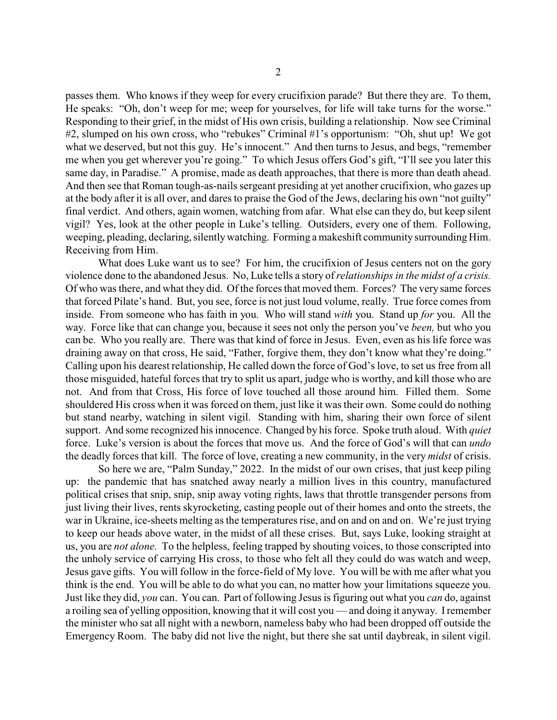passes them. Who knows if they weep for every crucifixion parade? But there they are. To them, He speaks: "Oh, don't weep for me; weep for yourselves, for life will take turns for the worse." Responding to their grief, in the midst of His own crisis, building a relationship. Now see Criminal #2, slumped on his own cross, who "rebukes" Criminal #1's opportunism: "Oh, shut up! We got what we deserved, but not this guy. He's innocent." And then turns to Jesus, and begs, "remember me when you get wherever you're going." To which Jesus offers God's gift, "I'll see you later this same day, in Paradise." A promise, made as death approaches, that there is more than death ahead. And then see that Roman tough-as-nails sergeant presiding at yet another crucifixion, who gazes up at the body after it is all over, and dares to praise the God of the Jews, declaring his own "not guilty" final verdict. And others, again women, watching from afar. What else can they do, but keep silent vigil? Yes, look at the other people in Luke's telling. Outsiders, every one of them. Following, weeping, pleading, declaring, silentlywatching. Forming a makeshift community surrounding Him. Receiving from Him.

What does Luke want us to see? For him, the crucifixion of Jesus centers not on the gory violence done to the abandoned Jesus. No, Luke tells a story of *relationships in the midst of a crisis.* Of who was there, and what they did. Of the forces that moved them. Forces? The very same forces that forced Pilate's hand. But, you see, force is not just loud volume, really. True force comes from inside. From someone who has faith in you. Who will stand *with* you. Stand up *for* you. All the way. Force like that can change you, because it sees not only the person you've *been,* but who you can be. Who you really are. There was that kind of force in Jesus. Even, even as his life force was draining away on that cross, He said, "Father, forgive them, they don't know what they're doing." Calling upon his dearest relationship, He called down the force of God's love, to set us free from all those misguided, hateful forces that try to split us apart, judge who is worthy, and kill those who are not. And from that Cross, His force of love touched all those around him. Filled them. Some shouldered His cross when it was forced on them, just like it was their own. Some could do nothing but stand nearby, watching in silent vigil. Standing with him, sharing their own force of silent support. And some recognized his innocence. Changed by his force. Spoke truth aloud. With *quiet* force. Luke's version is about the forces that move us. And the force of God's will that can *undo* the deadly forces that kill. The force of love, creating a new community, in the very *midst* of crisis.

So here we are, "Palm Sunday," 2022. In the midst of our own crises, that just keep piling up: the pandemic that has snatched away nearly a million lives in this country, manufactured political crises that snip, snip, snip away voting rights, laws that throttle transgender persons from just living their lives, rents skyrocketing, casting people out of their homes and onto the streets, the war in Ukraine, ice-sheets melting as the temperatures rise, and on and on and on. We're just trying to keep our heads above water, in the midst of all these crises. But, says Luke, looking straight at us, you are *not alone.* To the helpless, feeling trapped by shouting voices, to those conscripted into the unholy service of carrying His cross, to those who felt all they could do was watch and weep, Jesus gave gifts. You will follow in the force-field of My love. You will be with me after what you think is the end. You will be able to do what you can, no matter how your limitations squeeze you. Just like they did, *you* can. You can. Part of following Jesus is figuring out what you *can* do, against a roiling sea of yelling opposition, knowing that it will cost you — and doing it anyway. Iremember the minister who sat all night with a newborn, nameless baby who had been dropped off outside the Emergency Room. The baby did not live the night, but there she sat until daybreak, in silent vigil.